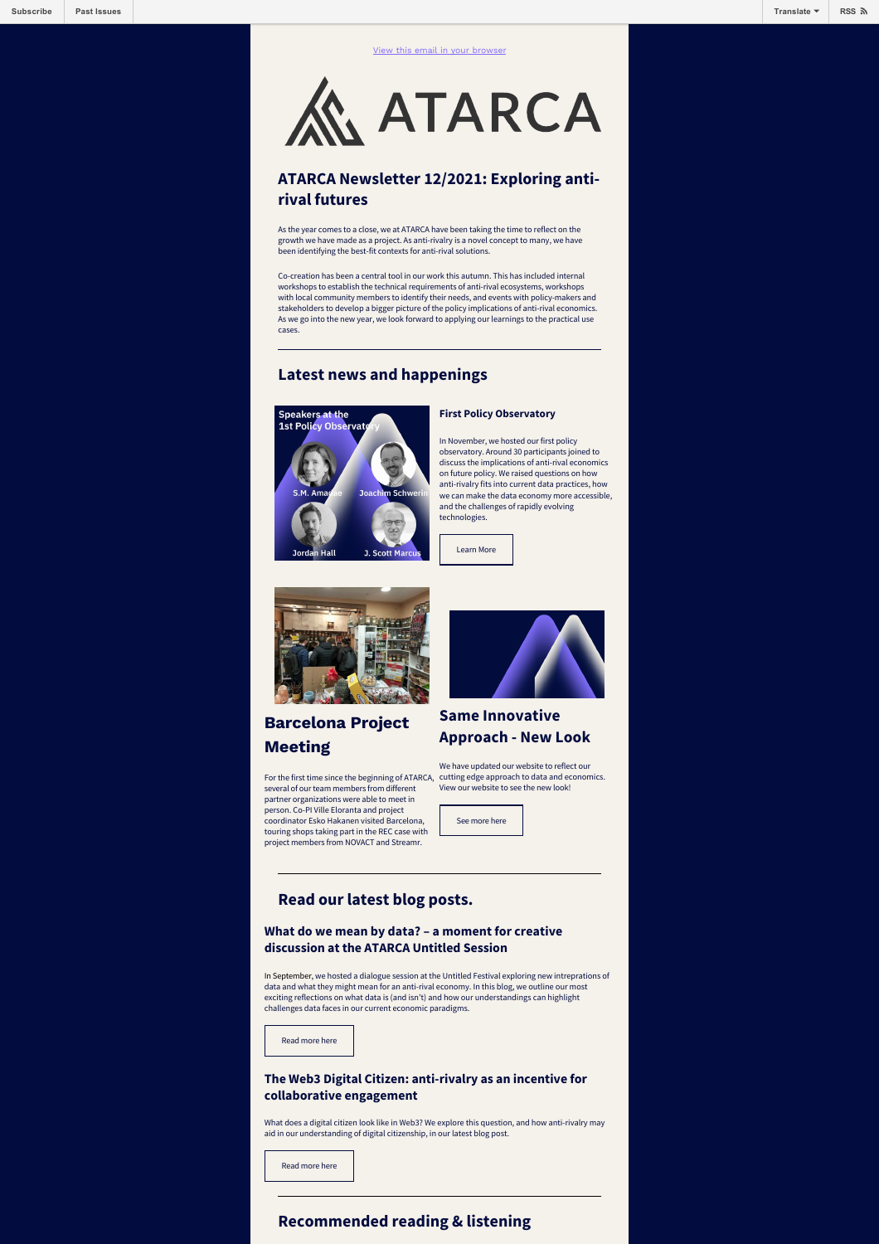

**ATARCA** 

### **ATARCA Newsletter 12/2021: Exploring antirival futures**

As the year comes to a close, we at ATARCA have been taking the time to reflect on the growth we have made as a project. As anti-rivalry is a novel concept to many, we have been identifying the best-fit contexts for anti-rival solutions.

Co-creation has been a central tool in our work this autumn. This has included internal workshops to establish the technical requirements of anti-rival ecosystems, workshops with local community members to identify their needs, and events with policy-makers and stakeholders to develop a bigger picture of the policy implications of anti-rival economics. As we go into the new year, we look forward to applying our learnings to the practical use cases.

### **Latest news and happenings**



#### **First Policy Observatory**

In November, we hosted our first policy observatory. Around 30 participants joined to discuss the implications of anti-rival economics on future policy. We raised questions on how anti-rivalry fits into current data practices, how we can make the data economy more accessible, and the challenges of rapidly evolving technologies.





# **Barcelona Project Meeting**

For the first time since the beginning of ATARCA, cutting edge approach to data and economics. several of our team members from different partner organizations were able to meet in person. Co-PI Ville Eloranta and project coordinator Esko Hakanen visited Barcelona, touring shops taking part in the REC case with project members from NOVACT and Streamr.



## **Same Innovative Approach - New Look**

We have updated our website to reflect our View our website to see the new look!



### **Read our latest blog posts.**

**What do we mean by data? – a moment for creative discussion at the ATARCA Untitled Session**

In September, we hosted a dialogue session at the Untitled Festival exploring new intreprations of data and what they might mean for an anti-rival economy. In this blog, we outline our most exciting reflections on what data is (and isn't) and how our understandings can highlight challenges data faces in our current economic paradigms.

[Read more here](https://atarca.eu/data-untitled-reflections/)

#### **The Web3 Digital Citizen: anti-rivalry as an incentive for collaborative engagement**

What does a digital citizen look like in Web3? We explore this question, and how anti-rivalry may aid in our understanding of digital citizenship, in our latest blog post.

[Read more here](https://atarca.eu/web3-digital-citizen/)

#### **Recommended reading & listening**